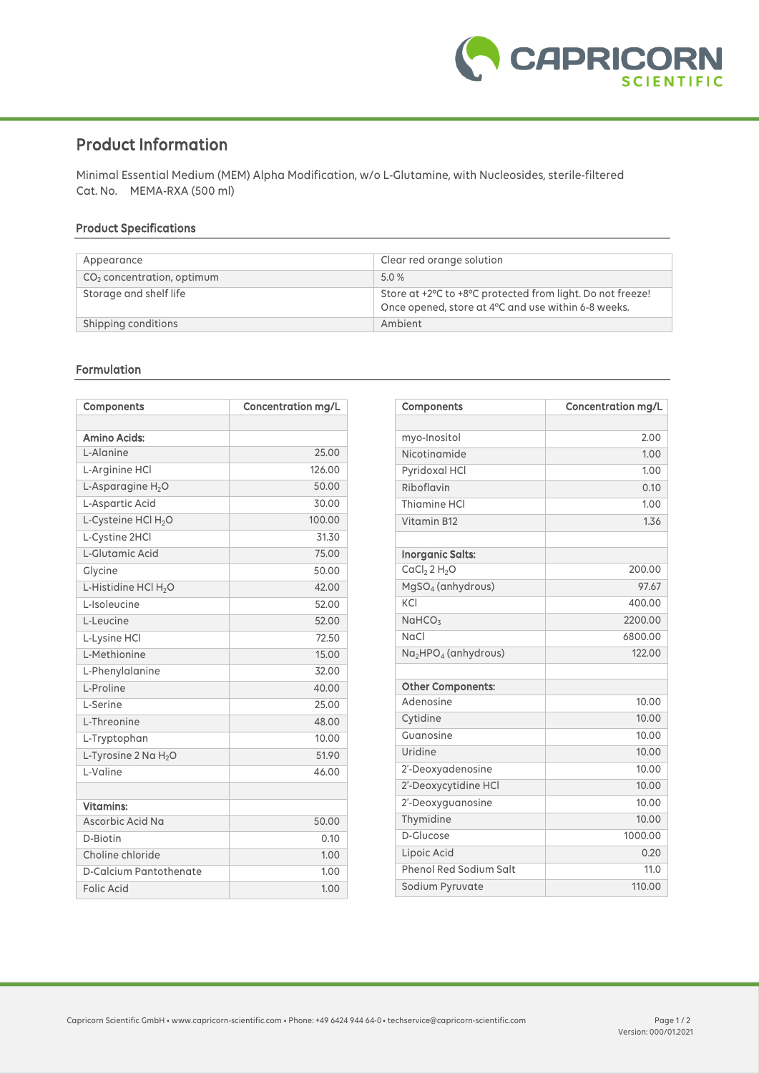

# **Product Information**

Minimal Essential Medium (MEM) Alpha Modification, w/o L-Glutamine, with Nucleosides, sterile-filtered Cat. No. MEMA-RXA (500 ml)

## **Product Specifications**

| Appearance                             | Clear red orange solution                                                                                         |
|----------------------------------------|-------------------------------------------------------------------------------------------------------------------|
| CO <sub>2</sub> concentration, optimum | 5.0 %                                                                                                             |
| Storage and shelf life                 | Store at +2°C to +8°C protected from light. Do not freeze!<br>Once opened, store at 4°C and use within 6-8 weeks. |
| Shipping conditions                    | Ambient                                                                                                           |

### **Formulation**

| Components                       | <b>Concentration mg/L</b> |
|----------------------------------|---------------------------|
|                                  |                           |
| <b>Amino Acids:</b>              |                           |
| L-Alanine                        | 25.00                     |
| L-Arginine HCl                   | 126.00                    |
| L-Asparagine $H_2O$              | 50.00                     |
| L-Aspartic Acid                  | 30.00                     |
| L-Cysteine HCl H <sub>2</sub> O  | 100.00                    |
| L-Cystine 2HCl                   | 31.30                     |
| L-Glutamic Acid                  | 75.00                     |
| Glycine                          | 50.00                     |
| L-Histidine HCl H <sub>2</sub> O | 42.00                     |
| L-Isoleucine                     | 52.00                     |
| L-Leucine                        | 52.00                     |
| L-Lysine HCl                     | 72.50                     |
| L-Methionine                     | 15.00                     |
| L-Phenylalanine                  | 32.00                     |
| L-Proline                        | 40.00                     |
| L-Serine                         | 25.00                     |
| L-Threonine                      | 48.00                     |
| L-Tryptophan                     | 10.00                     |
| L-Tyrosine $2$ Na $H_2O$         | 51.90                     |
| L-Valine                         | 46.00                     |
|                                  |                           |
| <b>Vitamins:</b>                 |                           |
| Ascorbic Acid Na                 | 50.00                     |
| D-Biotin                         | 0.10                      |
| Choline chloride                 | 1.00                      |
| D-Calcium Pantothenate           | 1.00                      |
| <b>Folic Acid</b>                | 1.00                      |

| Components                                   | <b>Concentration mg/L</b> |
|----------------------------------------------|---------------------------|
|                                              |                           |
| myo-Inositol                                 | 2.00                      |
| Nicotinamide                                 | 1.00                      |
| Pyridoxal HCl                                | 1.00                      |
| Riboflavin                                   | 0.10                      |
| Thiamine HCI                                 | 1.00                      |
| Vitamin B12                                  | 1.36                      |
| <b>Inorganic Salts:</b>                      |                           |
| CaCl <sub>2</sub> 2 H <sub>2</sub> O         | 200.00                    |
| MgSO <sub>4</sub> (anhydrous)                | 97.67                     |
| KCI                                          | 400.00                    |
| NaHCO <sub>3</sub>                           | 2200.00                   |
| NaCl                                         | 6800.00                   |
| Na <sub>2</sub> HPO <sub>4</sub> (anhydrous) | 122.00                    |
| <b>Other Components:</b>                     |                           |
| Adenosine                                    | 10.00                     |
| Cytidine                                     | 10.00                     |
| Guanosine                                    | 10.00                     |
| Uridine                                      | 10.00                     |
| 2'-Deoxyadenosine                            | 10.00                     |
| 2'-Deoxycytidine HCl                         | 10.00                     |
| 2'-Deoxyguanosine                            | 10.00                     |
| Thymidine                                    | 10.00                     |
| D-Glucose                                    | 1000.00                   |
| Lipoic Acid                                  | 0.20                      |
| <b>Phenol Red Sodium Salt</b>                | 11.0                      |
| Sodium Pyruvate                              | 110.00                    |